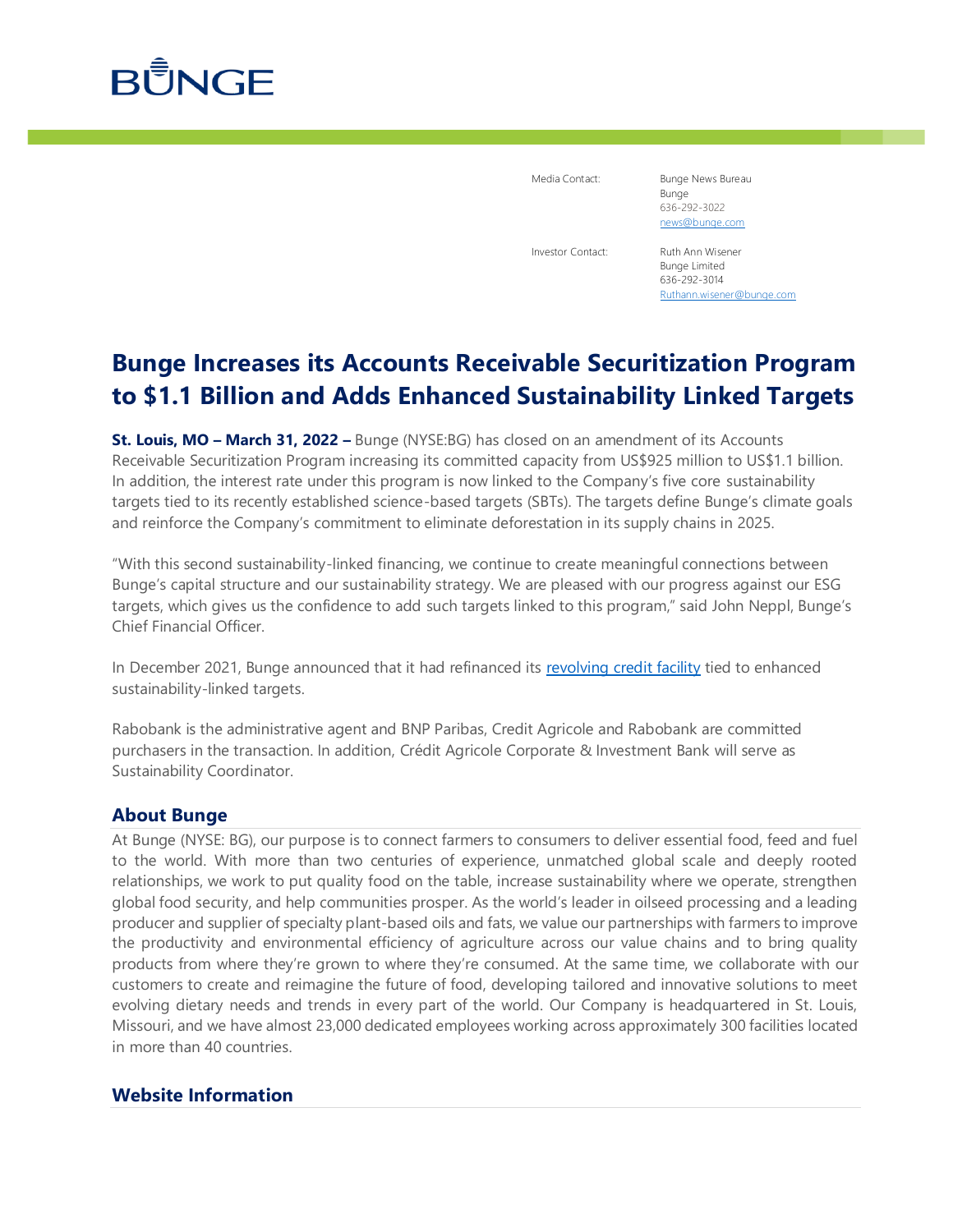

Media Contact: Bunge News Bureau Bunge 636-292-3022 [news@bunge.com](mailto:%20news@bunge.com)

Investor Contact: Ruth Ann Wisener Bunge Limited 636-292-3014 [Ruthann.wisener@bunge.com](mailto:Ruthann.wisener@bunge.com)

## **Bunge Increases its Accounts Receivable Securitization Program to \$1.1 Billion and Adds Enhanced Sustainability Linked Targets**

**St. Louis, MO – March 31, 2022 –** Bunge (NYSE:BG) has closed on an amendment of its Accounts Receivable Securitization Program increasing its committed capacity from US\$925 million to US\$1.1 billion. In addition, the interest rate under this program is now linked to the Company's five core sustainability targets tied to its recently established science-based targets (SBTs). The targets define Bunge's climate goals and reinforce the Company's commitment to eliminate deforestation in its supply chains in 2025.

"With this second sustainability-linked financing, we continue to create meaningful connections between Bunge's capital structure and our sustainability strategy. We are pleased with our progress against our ESG targets, which gives us the confidence to add such targets linked to this program," said John Neppl, Bunge's Chief Financial Officer.

In December 2021, Bunge announced that it had refinanced its [revolving credit facility](https://investors.bunge.com/investors/news-and-events/press-releases/year/2021/12-16-2021) tied to enhanced sustainability-linked targets.

Rabobank is the administrative agent and BNP Paribas, Credit Agricole and Rabobank are committed purchasers in the transaction. In addition, Crédit Agricole Corporate & Investment Bank will serve as Sustainability Coordinator.

### **About Bunge**

At Bunge (NYSE: BG), our purpose is to connect farmers to consumers to deliver essential food, feed and fuel to the world. With more than two centuries of experience, unmatched global scale and deeply rooted relationships, we work to put quality food on the table, increase sustainability where we operate, strengthen global food security, and help communities prosper. As the world's leader in oilseed processing and a leading producer and supplier of specialty plant-based oils and fats, we value our partnerships with farmers to improve the productivity and environmental efficiency of agriculture across our value chains and to bring quality products from where they're grown to where they're consumed. At the same time, we collaborate with our customers to create and reimagine the future of food, developing tailored and innovative solutions to meet evolving dietary needs and trends in every part of the world. Our Company is headquartered in St. Louis, Missouri, and we have almost 23,000 dedicated employees working across approximately 300 facilities located in more than 40 countries.

### **Website Information**